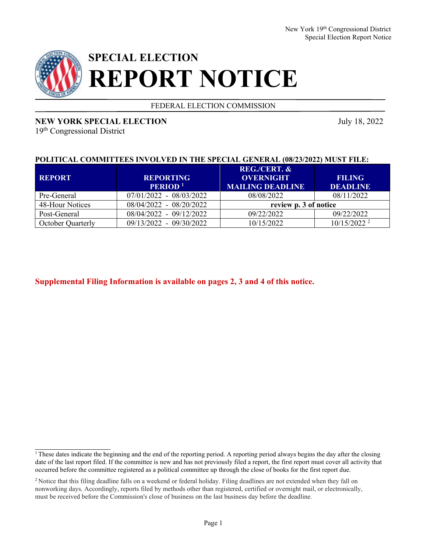

# **SPECIAL ELECTION REPORT NOTICE**

FEDERAL ELECTION COMMISSION

## **NEW YORK SPECIAL ELECTION** July 18, 2022

19th Congressional District

## **POLITICAL COMMITTEES INVOLVED IN THE SPECIAL GENERAL (08/23/2022) MUST FILE:**

| <b>REPORT</b>            | <b>REPORTING</b><br><b>PERIOD</b> <sup>1</sup> | <b>REG./CERT. &amp;</b><br><b>OVERNIGHT</b><br><b>MAILING DEADLINE</b> | <b>FILING</b><br><b>DEADLINE</b> |
|--------------------------|------------------------------------------------|------------------------------------------------------------------------|----------------------------------|
| Pre-General              | $07/01/2022 - 08/03/2022$                      | 08/08/2022                                                             | 08/11/2022                       |
| 48-Hour Notices          | 08/04/2022 - 08/20/2022                        | review p. 3 of notice                                                  |                                  |
| Post-General             | 08/04/2022 - 09/12/2022                        | 09/22/2022                                                             | 09/22/2022                       |
| <b>October Quarterly</b> | 09/13/2022 - 09/30/2022                        | 10/15/2022                                                             | $10/15/2022^2$                   |

**Supplemental Filing Information is available on pages 2, 3 and 4 of this notice.**

<sup>&</sup>lt;sup>1</sup>These dates indicate the beginning and the end of the reporting period. A reporting period always begins the day after the closing date of the last report filed. If the committee is new and has not previously filed a report, the first report must cover all activity that occurred before the committee registered as a political committee up through the close of books for the first report due.

<sup>&</sup>lt;sup>2</sup> Notice that this filing deadline falls on a weekend or federal holiday. Filing deadlines are not extended when they fall on nonworking days. Accordingly, reports filed by methods other than registered, certified or overnight mail, or electronically, must be received before the Commission's close of business on the last business day before the deadline.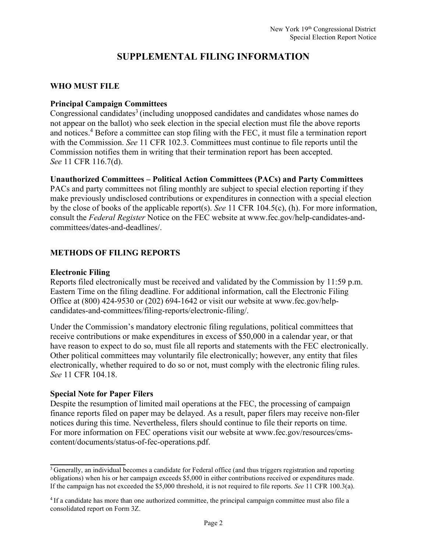## **SUPPLEMENTAL FILING INFORMATION**

### **WHO MUST FILE**

## **Principal Campaign Committees**

Congressional candidates<sup>3</sup> (including unopposed candidates and candidates whose names do not appear on the ballot) who seek election in the special election must file the above reports and notices.4 Before a committee can stop filing with the FEC, it must file a termination report with the Commission. *See* 11 CFR 102.3. Committees must continue to file reports until the Commission notifies them in writing that their termination report has been accepted. *See* 11 CFR 116.7(d).

#### **Unauthorized Committees – Political Action Committees (PACs) and Party Committees**

PACs and party committees not filing monthly are subject to special election reporting if they make previously undisclosed contributions or expenditures in connection with a special election by the close of books of the applicable report(s). *See* 11 CFR 104.5(c), (h). For more information, consult the *Federal Register* Notice on the FEC website at www.fec.gov/help-candidates-andcommittees/dates-and-deadlines/.

## **METHODS OF FILING REPORTS**

#### **Electronic Filing**

Reports filed electronically must be received and validated by the Commission by 11:59 p.m. Eastern Time on the filing deadline. For additional information, call the Electronic Filing Office at (800) 424-9530 or (202) 694-1642 or visit our website at www.fec.gov/helpcandidates-and-committees/filing-reports/electronic-filing/.

Under the Commission's mandatory electronic filing regulations, political committees that receive contributions or make expenditures in excess of \$50,000 in a calendar year, or that have reason to expect to do so, must file all reports and statements with the FEC electronically. Other political committees may voluntarily file electronically; however, any entity that files electronically, whether required to do so or not, must comply with the electronic filing rules. *See* 11 CFR 104.18.

#### **Special Note for Paper Filers**

Despite the resumption of limited mail operations at the FEC, the processing of campaign finance reports filed on paper may be delayed. As a result, paper filers may receive non-filer notices during this time. Nevertheless, filers should continue to file their reports on time. For more information on FEC operations visit our website at www.fec.gov/resources/cmscontent/documents/status-of-fec-operations.pdf.

<sup>&</sup>lt;sup>3</sup> Generally, an individual becomes a candidate for Federal office (and thus triggers registration and reporting obligations) when his or her campaign exceeds \$5,000 in either contributions received or expenditures made. If the campaign has not exceeded the \$5,000 threshold, it is not required to file reports. *See* 11 CFR 100.3(a).

<sup>4</sup> If a candidate has more than one authorized committee, the principal campaign committee must also file a consolidated report on Form 3Z.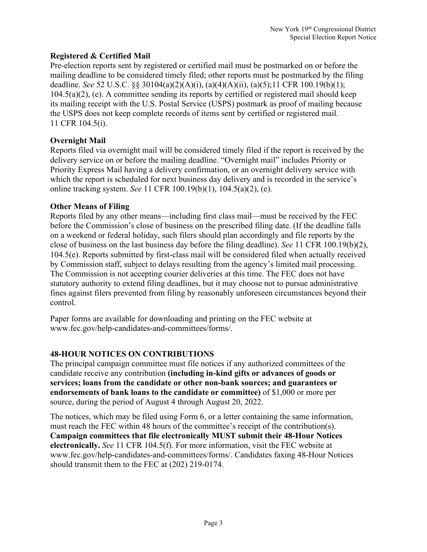## **Registered & Certified Mail**

Pre-election reports sent by registered or certified mail must be postmarked on or before the mailing deadline to be considered timely filed; other reports must be postmarked by the filing deadline. *See* 52 U.S.C. §§ 30104(a)(2)(A)(i), (a)(4)(A)(ii), (a)(5);11 CFR 100.19(b)(1); 104.5(a)(2), (e). A committee sending its reports by certified or registered mail should keep its mailing receipt with the U.S. Postal Service (USPS) postmark as proof of mailing because the USPS does not keep complete records of items sent by certified or registered mail. 11 CFR 104.5(i).

## **Overnight Mail**

Reports filed via overnight mail will be considered timely filed if the report is received by the delivery service on or before the mailing deadline. "Overnight mail" includes Priority or Priority Express Mail having a delivery confirmation, or an overnight delivery service with which the report is scheduled for next business day delivery and is recorded in the service's online tracking system. *See* 11 CFR 100.19(b)(1), 104.5(a)(2), (e).

## **Other Means of Filing**

Reports filed by any other means—including first class mail—must be received by the FEC before the Commission's close of business on the prescribed filing date. (If the deadline falls on a weekend or federal holiday, such filers should plan accordingly and file reports by the close of business on the last business day before the filing deadline). *See* 11 CFR 100.19(b)(2), 104.5(e). Reports submitted by first-class mail will be considered filed when actually received by Commission staff, subject to delays resulting from the agency's limited mail processing. The Commission is not accepting courier deliveries at this time. The FEC does not have statutory authority to extend filing deadlines, but it may choose not to pursue administrative fines against filers prevented from filing by reasonably unforeseen circumstances beyond their control.

Paper forms are available for downloading and printing on the FEC website at www.fec.gov/help-candidates-and-committees/forms/.

## **48-HOUR NOTICES ON CONTRIBUTIONS**

The principal campaign committee must file notices if any authorized committees of the candidate receive any contribution **(including in-kind gifts or advances of goods or services; loans from the candidate or other non-bank sources; and guarantees or endorsements of bank loans to the candidate or committee)** of \$1,000 or more per source, during the period of August 4 through August 20, 2022.

The notices, which may be filed using Form 6, or a letter containing the same information, must reach the FEC within 48 hours of the committee's receipt of the contribution(s). **Campaign committees that file electronically MUST submit their 48-Hour Notices electronically.** *See* 11 CFR 104.5(f). For more information, visit the FEC website at www.fec.gov/help-candidates-and-committees/forms/. Candidates faxing 48-Hour Notices should transmit them to the FEC at (202) 219-0174.